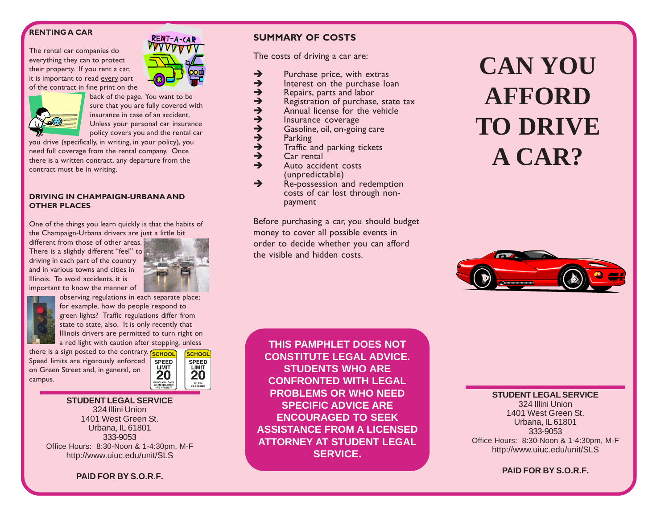# **RENTING A CAR**

The rental car companies do everything they can to protect their property. If you rent a car, it is important to read every part of the contract in fine print on the



back of the page. You want to be sure that you are fully covered with insurance in case of an accident. Unless your personal car insurance policy covers you and the rental car

RENT-A-CAR

you drive (specifically, in writing, in your policy), you need full coverage from the rental company. Once there is a written contract, any departure from the contract must be in writing.

# **DRIVING IN CHAMPAIGN-URBANA AND OTHER PLACES**

One of the things you learn quickly is that the habits of the Champaign-Urbana drivers are just a little bit

different from those of other areas. There is a slightly different "feel" to driving in each part of the country and in various towns and cities in Illinois. To avoid accidents, it is important to know the manner of



observing regulations in each separate place; for example, how do people respond to

green lights? Traffic regulations differ from state to state, also. It is only recently that Illinois drivers are permitted to turn right on a red light with caution after stopping, unless

there is a sign posted to the contrary. **SCHOOL** Speed limits are rigorously enforced on Green Street and, in general, on campus.



# **STUDENT LEGAL SERVICE** 324 Illini Union 1401 West Green St. Urbana, IL 61801 333-9053 Office Hours: 8:30-Noon & 1-4:30pm, M-F http://www.uiuc.edu/unit/SLS

**PAID FOR BY S.O.R.F.**

# **SUMMARY OF COSTS**

The costs of driving a car are:

- $\rightarrow$  Purchase price, with extras<br> $\rightarrow$  Interest on the purchase log
- 
- Repairs, parts and labor
- $\rightarrow$  Interest on the purchase loan<br>  $\rightarrow$  Repairs, parts and labor<br>  $\rightarrow$  Registration of purchase, state  $\rightarrow$  Registration of purchase, state tax<br>  $\rightarrow$  Annual license for the vehicle
- $\rightarrow$  Annual license for the vehicle
- 
- $\rightarrow$  Insurance coverage<br> $\rightarrow$  Gasoline, oil, on-goin  $\rightarrow$  Gasoline, oil, on-going care
- $\rightarrow$  Parking<br> $\rightarrow$  Traffic a
- $\rightarrow$  Traffic and parking tickets<br> $\rightarrow$  Car rental
- Car rental
- $\rightarrow$  Auto accident costs (unpredictable)
- $\rightarrow$  Re-possession and redemption costs of car lost through nonpayment

Before purchasing a car, you should budget money to cover all possible events in order to decide whether you can afford the visible and hidden costs.

# **CAN YOU AFFORD TO DRIVE A CAR?**



**THIS PAMPHLET DOES NOT CONSTITUTE LEGAL ADVICE. STUDENTS WHO ARE CONFRONTED WITH LEGAL PROBLEMS OR WHO NEED SPECIFIC ADVICE ARE ENCOURAGED TO SEEK ASSISTANCE FROM A LICENSED ATTORNEY AT STUDENT LEGAL SERVICE.**

**STUDENT LEGAL SERVICE** 324 Illini Union 1401 West Green St. Urbana, IL 61801 333-9053 Office Hours: 8:30-Noon & 1-4:30pm, M-F http://www.uiuc.edu/unit/SLS

**PAID FOR BY S.O.R.F.**